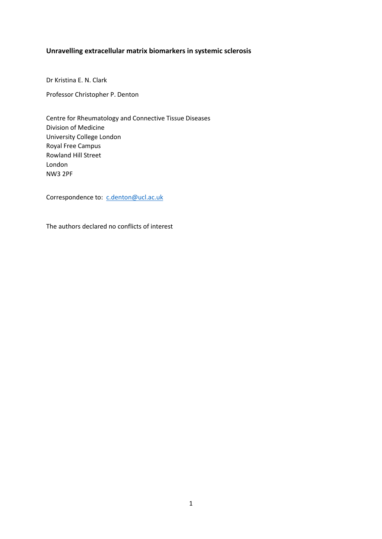## **Unravelling extracellular matrix biomarkers in systemic sclerosis**

Dr Kristina E. N. Clark

Professor Christopher P. Denton

Centre for Rheumatology and Connective Tissue Diseases Division of Medicine University College London Royal Free Campus Rowland Hill Street London NW3 2PF

Correspondence to: [c.denton@ucl.ac.uk](mailto:c.denton@ucl.ac.uk)

The authors declared no conflicts of interest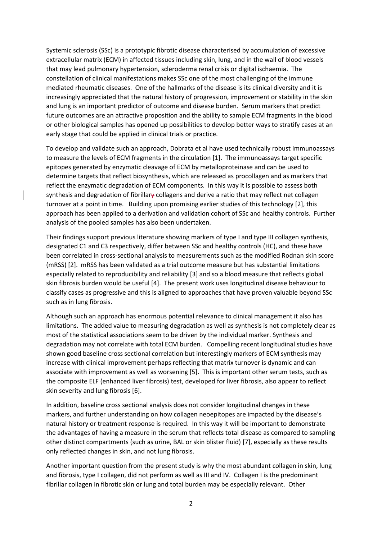Systemic sclerosis (SSc) is a prototypic fibrotic disease characterised by accumulation of excessive extracellular matrix (ECM) in affected tissues including skin, lung, and in the wall of blood vessels that may lead pulmonary hypertension, scleroderma renal crisis or digital ischaemia. The constellation of clinical manifestations makes SSc one of the most challenging of the immune mediated rheumatic diseases. One of the hallmarks of the disease is its clinical diversity and it is increasingly appreciated that the natural history of progression, improvement or stability in the skin and lung is an important predictor of outcome and disease burden. Serum markers that predict future outcomes are an attractive proposition and the ability to sample ECM fragments in the blood or other biological samples has opened up possibilities to develop better ways to stratify cases at an early stage that could be applied in clinical trials or practice.

To develop and validate such an approach, Dobrata et al have used technically robust immunoassays to measure the levels of ECM fragments in the circulation [1]. The immunoassays target specific epitopes generated by enzymatic cleavage of ECM by metalloproteinase and can be used to determine targets that reflect biosynthesis, which are released as procollagen and as markers that reflect the enzymatic degradation of ECM components. In this way it is possible to assess both synthesis and degradation of fibrillary collagens and derive a ratio that may reflect net collagen turnover at a point in time. Building upon promising earlier studies of this technology [2], this approach has been applied to a derivation and validation cohort of SSc and healthy controls. Further analysis of the pooled samples has also been undertaken.

Their findings support previous literature showing markers of type I and type III collagen synthesis, designated C1 and C3 respectively, differ between SSc and healthy controls (HC), and these have been correlated in cross-sectional analysis to measurements such as the modified Rodnan skin score (mRSS) [2]. mRSS has been validated as a trial outcome measure but has substantial limitations especially related to reproducibility and reliability [3] and so a blood measure that reflects global skin fibrosis burden would be useful [4]. The present work uses longitudinal disease behaviour to classify cases as progressive and this is aligned to approaches that have proven valuable beyond SSc such as in lung fibrosis.

Although such an approach has enormous potential relevance to clinical management it also has limitations. The added value to measuring degradation as well as synthesis is not completely clear as most of the statistical associations seem to be driven by the individual marker. Synthesis and degradation may not correlate with total ECM burden. Compelling recent longitudinal studies have shown good baseline cross sectional correlation but interestingly markers of ECM synthesis may increase with clinical improvement perhaps reflecting that matrix turnover is dynamic and can associate with improvement as well as worsening [5]. This is important other serum tests, such as the composite ELF (enhanced liver fibrosis) test, developed for liver fibrosis, also appear to reflect skin severity and lung fibrosis [6].

In addition, baseline cross sectional analysis does not consider longitudinal changes in these markers, and further understanding on how collagen neoepitopes are impacted by the disease's natural history or treatment response is required. In this way it will be important to demonstrate the advantages of having a measure in the serum that reflects total disease as compared to sampling other distinct compartments (such as urine, BAL or skin blister fluid) [7], especially as these results only reflected changes in skin, and not lung fibrosis.

Another important question from the present study is why the most abundant collagen in skin, lung and fibrosis, type I collagen, did not perform as well as III and IV. Collagen I is the predominant fibrillar collagen in fibrotic skin or lung and total burden may be especially relevant. Other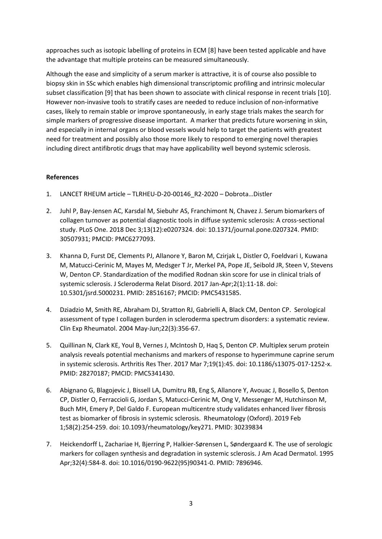approaches such as isotopic labelling of proteins in ECM [8] have been tested applicable and have the advantage that multiple proteins can be measured simultaneously.

Although the ease and simplicity of a serum marker is attractive, it is of course also possible to biopsy skin in SSc which enables high dimensional transcriptomic profiling and intrinsic molecular subset classification [9] that has been shown to associate with clinical response in recent trials [10]. However non-invasive tools to stratify cases are needed to reduce inclusion of non-informative cases, likely to remain stable or improve spontaneously, in early stage trials makes the search for simple markers of progressive disease important. A marker that predicts future worsening in skin, and especially in internal organs or blood vessels would help to target the patients with greatest need for treatment and possibly also those more likely to respond to emerging novel therapies including direct antifibrotic drugs that may have applicability well beyond systemic sclerosis.

## **References**

- 1. LANCET RHEUM article TLRHEU-D-20-00146\_R2-2020 Dobrota…Distler
- 2. Juhl P, Bay-Jensen AC, Karsdal M, Siebuhr AS, Franchimont N, Chavez J. Serum biomarkers of collagen turnover as potential diagnostic tools in diffuse systemic sclerosis: A cross-sectional study. PLoS One. 2018 Dec 3;13(12):e0207324. doi: 10.1371/journal.pone.0207324. PMID: 30507931; PMCID: PMC6277093.
- 3. Khanna D, Furst DE, Clements PJ, Allanore Y, Baron M, Czirjak L, Distler O, Foeldvari I, Kuwana M, Matucci-Cerinic M, Mayes M, Medsger T Jr, Merkel PA, Pope JE, Seibold JR, Steen V, Stevens W, Denton CP. Standardization of the modified Rodnan skin score for use in clinical trials of systemic sclerosis. J Scleroderma Relat Disord. 2017 Jan-Apr;2(1):11-18. doi: 10.5301/jsrd.5000231. PMID: 28516167; PMCID: PMC5431585.
- 4. Dziadzio M, Smith RE, Abraham DJ, Stratton RJ, Gabrielli A, Black CM, Denton CP. Serological assessment of type I collagen burden in scleroderma spectrum disorders: a systematic review. Clin Exp Rheumatol. 2004 May-Jun;22(3):356-67.
- 5. Quillinan N, Clark KE, Youl B, Vernes J, McIntosh D, Haq S, Denton CP. Multiplex serum protein analysis reveals potential mechanisms and markers of response to hyperimmune caprine serum in systemic sclerosis. Arthritis Res Ther. 2017 Mar 7;19(1):45. doi: 10.1186/s13075-017-1252-x. PMID: 28270187; PMCID: PMC5341430.
- 6. Abignano G, Blagojevic J, Bissell LA, Dumitru RB, Eng S, Allanore Y, Avouac J, Bosello S, Denton CP, Distler O, Ferraccioli G, Jordan S, Matucci-Cerinic M, Ong V, Messenger M, Hutchinson M, Buch MH, Emery P, Del Galdo F. European multicentre study validates enhanced liver fibrosis test as biomarker of fibrosis in systemic sclerosis. Rheumatology (Oxford). 2019 Feb 1;58(2):254-259. doi: 10.1093/rheumatology/key271. PMID: 30239834
- 7. Heickendorff L, Zachariae H, Bjerring P, Halkier-Sørensen L, Søndergaard K. The use of serologic markers for collagen synthesis and degradation in systemic sclerosis. J Am Acad Dermatol. 1995 Apr;32(4):584-8. doi: 10.1016/0190-9622(95)90341-0. PMID: 7896946.